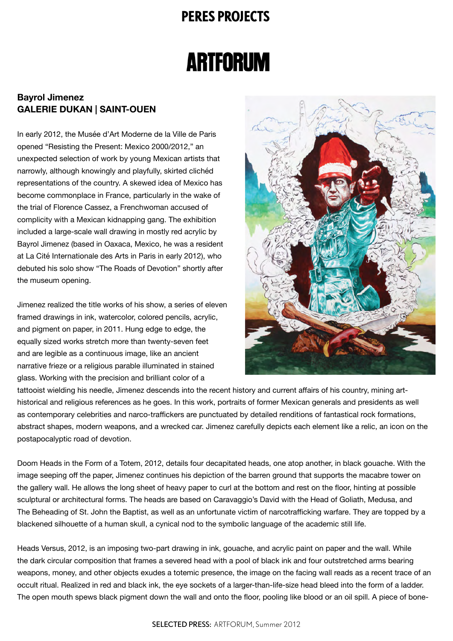## **PERES PROJECTS**

## **ARTFORUM**

## **Bayrol Jimenez GALERIE DUKAN | SAINT-OUEN**

In early 2012, the Musée d'Art Moderne de la Ville de Paris opened "Resisting the Present: Mexico 2000/2012," an unexpected selection of work by young Mexican artists that narrowly, although knowingly and playfully, skirted clichéd representations of the country. A skewed idea of Mexico has become commonplace in France, particularly in the wake of the trial of Florence Cassez, a Frenchwoman accused of complicity with a Mexican kidnapping gang. The exhibition included a large-scale wall drawing in mostly red acrylic by Bayrol Jimenez (based in Oaxaca, Mexico, he was a resident at La Cité Internationale des Arts in Paris in early 2012), who debuted his solo show "The Roads of Devotion" shortly after the museum opening.

Jimenez realized the title works of his show, a series of eleven framed drawings in ink, watercolor, colored pencils, acrylic, and pigment on paper, in 2011. Hung edge to edge, the equally sized works stretch more than twenty-seven feet and are legible as a continuous image, like an ancient narrative frieze or a religious parable illuminated in stained glass. Working with the precision and brilliant color of a



tattooist wielding his needle, Jimenez descends into the recent history and current affairs of his country, mining arthistorical and religious references as he goes. In this work, portraits of former Mexican generals and presidents as well as contemporary celebrities and narco-traffickers are punctuated by detailed renditions of fantastical rock formations, abstract shapes, modern weapons, and a wrecked car. Jimenez carefully depicts each element like a relic, an icon on the postapocalyptic road of devotion.

Doom Heads in the Form of a Totem, 2012, details four decapitated heads, one atop another, in black gouache. With the image seeping off the paper, Jimenez continues his depiction of the barren ground that supports the macabre tower on the gallery wall. He allows the long sheet of heavy paper to curl at the bottom and rest on the floor, hinting at possible sculptural or architectural forms. The heads are based on Caravaggio's David with the Head of Goliath, Medusa, and The Beheading of St. John the Baptist, as well as an unfortunate victim of narcotrafficking warfare. They are topped by a blackened silhouette of a human skull, a cynical nod to the symbolic language of the academic still life.

Heads Versus, 2012, is an imposing two-part drawing in ink, gouache, and acrylic paint on paper and the wall. While the dark circular composition that frames a severed head with a pool of black ink and four outstretched arms bearing weapons, money, and other objects exudes a totemic presence, the image on the facing wall reads as a recent trace of an occult ritual. Realized in red and black ink, the eye sockets of a larger-than-life-size head bleed into the form of a ladder. The open mouth spews black pigment down the wall and onto the floor, pooling like blood or an oil spill. A piece of bone-